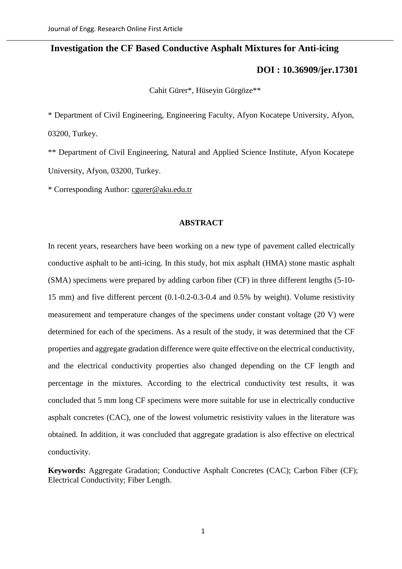# **Investigation the CF Based Conductive Asphalt Mixtures for Anti-icing**

# **[DOI : 10.36909/jer.17301](https://doi.org/10.36909/jer.17301)**

Cahit Gürer\*, Hüseyin Gürgöze\*\*

\* Department of Civil Engineering, Engineering Faculty, Afyon Kocatepe University, Afyon, 03200, Turkey.

\*\* Department of Civil Engineering, Natural and Applied Science Institute, Afyon Kocatepe University, Afyon, 03200, Turkey.

\* Corresponding Author: [cgurer@aku.edu.tr](mailto:cgurer@aku.edu.tr)

#### **ABSTRACT**

In recent years, researchers have been working on a new type of pavement called electrically conductive asphalt to be anti-icing. In this study, hot mix asphalt (HMA) stone mastic asphalt (SMA) specimens were prepared by adding carbon fiber (CF) in three different lengths (5-10- 15 mm) and five different percent (0.1-0.2-0.3-0.4 and 0.5% by weight). Volume resistivity measurement and temperature changes of the specimens under constant voltage (20 V) were determined for each of the specimens. As a result of the study, it was determined that the CF properties and aggregate gradation difference were quite effective on the electrical conductivity, and the electrical conductivity properties also changed depending on the CF length and percentage in the mixtures. According to the electrical conductivity test results, it was concluded that 5 mm long CF specimens were more suitable for use in electrically conductive asphalt concretes (CAC), one of the lowest volumetric resistivity values in the literature was obtained. In addition, it was concluded that aggregate gradation is also effective on electrical conductivity.

**Keywords:** Aggregate Gradation; Conductive Asphalt Concretes (CAC); Carbon Fiber (CF); Electrical Conductivity; Fiber Length.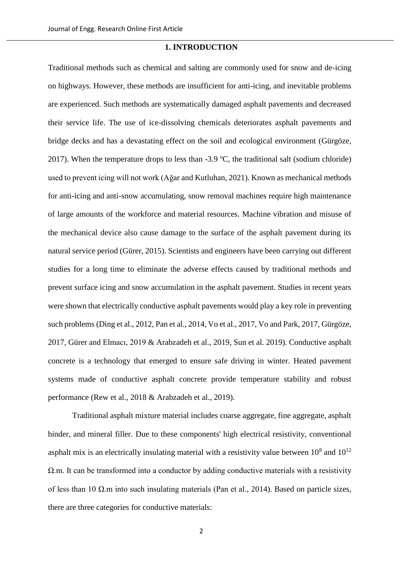#### **1. INTRODUCTION**

Traditional methods such as chemical and salting are commonly used for snow and de-icing on highways. However, these methods are insufficient for anti-icing, and inevitable problems are experienced. Such methods are systematically damaged asphalt pavements and decreased their service life. The use of ice-dissolving chemicals deteriorates asphalt pavements and bridge decks and has a devastating effect on the soil and ecological environment (Gürgöze, 2017). When the temperature drops to less than  $-3.9 \degree C$ , the traditional salt (sodium chloride) used to prevent icing will not work (Ağar and Kutluhan, 2021). Known as mechanical methods for anti-icing and anti-snow accumulating, snow removal machines require high maintenance of large amounts of the workforce and material resources. Machine vibration and misuse of the mechanical device also cause damage to the surface of the asphalt pavement during its natural service period (Gürer, 2015). Scientists and engineers have been carrying out different studies for a long time to eliminate the adverse effects caused by traditional methods and prevent surface icing and snow accumulation in the asphalt pavement. Studies in recent years were shown that electrically conductive asphalt pavements would play a key role in preventing such problems (Ding et al., 2012, Pan et al., 2014, Vo et al., 2017, Vo and Park, 2017, Gürgöze, 2017, Gürer and Elmacı, 2019 & Arabzadeh et al., 2019, Sun et al. 2019). Conductive asphalt concrete is a technology that emerged to ensure safe driving in winter. Heated pavement systems made of conductive asphalt concrete provide temperature stability and robust performance (Rew et al., 2018 & Arabzadeh et al., 2019).

Traditional asphalt mixture material includes coarse aggregate, fine aggregate, asphalt binder, and mineral filler. Due to these components' high electrical resistivity, conventional asphalt mix is an electrically insulating material with a resistivity value between  $10^8$  and  $10^{12}$ Ω.m. It can be transformed into a conductor by adding conductive materials with a resistivity of less than 10 Ω.m into such insulating materials (Pan et al., 2014). Based on particle sizes, there are three categories for conductive materials: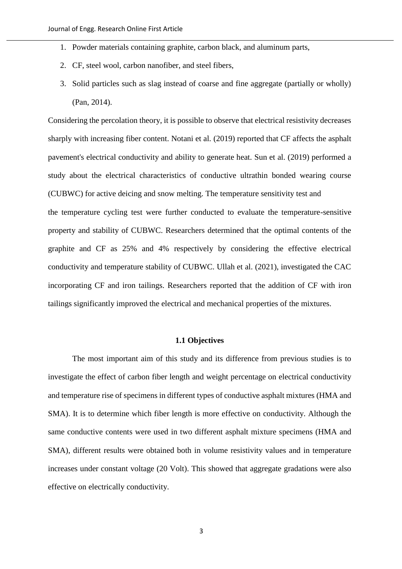- 1. Powder materials containing graphite, carbon black, and aluminum parts,
- 2. CF, steel wool, carbon nanofiber, and steel fibers,
- 3. Solid particles such as slag instead of coarse and fine aggregate (partially or wholly) (Pan, 2014).

Considering the percolation theory, it is possible to observe that electrical resistivity decreases sharply with increasing fiber content. Notani et al. (2019) reported that CF affects the asphalt pavement's electrical conductivity and ability to generate heat. Sun et al. (2019) performed a study about the electrical characteristics of conductive ultrathin bonded wearing course (CUBWC) for active deicing and snow melting. The temperature sensitivity test and the temperature cycling test were further conducted to evaluate the temperature-sensitive property and stability of CUBWC. Researchers determined that the optimal contents of the graphite and CF as 25% and 4% respectively by considering the effective electrical conductivity and temperature stability of CUBWC. Ullah et al. (2021), investigated the CAC incorporating CF and iron tailings. Researchers reported that the addition of CF with iron tailings significantly improved the electrical and mechanical properties of the mixtures.

#### **1.1 Objectives**

The most important aim of this study and its difference from previous studies is to investigate the effect of carbon fiber length and weight percentage on electrical conductivity and temperature rise of specimens in different types of conductive asphalt mixtures (HMA and SMA). It is to determine which fiber length is more effective on conductivity. Although the same conductive contents were used in two different asphalt mixture specimens (HMA and SMA), different results were obtained both in volume resistivity values and in temperature increases under constant voltage (20 Volt). This showed that aggregate gradations were also effective on electrically conductivity.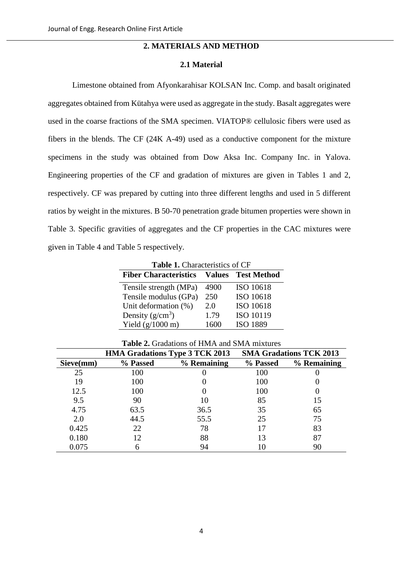# **2. MATERIALS AND METHOD**

### **2.1 Material**

Limestone obtained from Afyonkarahisar KOLSAN Inc. Comp. and basalt originated aggregates obtained from Kütahya were used as aggregate in the study. Basalt aggregates were used in the coarse fractions of the SMA specimen. VIATOP® cellulosic fibers were used as fibers in the blends. The CF (24K A-49) used as a conductive component for the mixture specimens in the study was obtained from Dow Aksa Inc. Company Inc. in Yalova. Engineering properties of the CF and gradation of mixtures are given in Tables 1 and 2, respectively. CF was prepared by cutting into three different lengths and used in 5 different ratios by weight in the mixtures. B 50-70 penetration grade bitumen properties were shown in Table 3. Specific gravities of aggregates and the CF properties in the CAC mixtures were given in Table 4 and Table 5 respectively.

**Table 1.** Characteristics of CF

| <b>Fiber Characteristics</b> | <b>Values</b> | <b>Test Method</b> |
|------------------------------|---------------|--------------------|
| Tensile strength (MPa)       | 4900          | ISO 10618          |
| Tensile modulus (GPa)        | 250           | ISO 10618          |
| Unit deformation (%)         | 2.0           | ISO 10618          |
| Density $(g/cm^3)$           | 1.79          | ISO 10119          |
| Yield $(g/1000 \text{ m})$   | 1600          | <b>ISO 1889</b>    |

|           | <b>HMA Gradations Type 3 TCK 2013</b> |             | <b>SMA Gradations TCK 2013</b> |             |
|-----------|---------------------------------------|-------------|--------------------------------|-------------|
| Sieve(mm) | % Passed                              | % Remaining | % Passed                       | % Remaining |
| 25        | 100                                   |             | 100                            |             |
| 19        | 100                                   |             | 100                            |             |
| 12.5      | 100                                   |             | 100                            |             |
| 9.5       | 90                                    | 10          | 85                             | 15          |
| 4.75      | 63.5                                  | 36.5        | 35                             | 65          |
| 2.0       | 44.5                                  | 55.5        | 25                             | 75          |
| 0.425     | 22                                    | 78          |                                | 83          |
| 0.180     |                                       | 88          |                                | 87          |
| 0.075     |                                       | 94          |                                | 90          |

**Table 2.** Gradations of HMA and SMA mixtures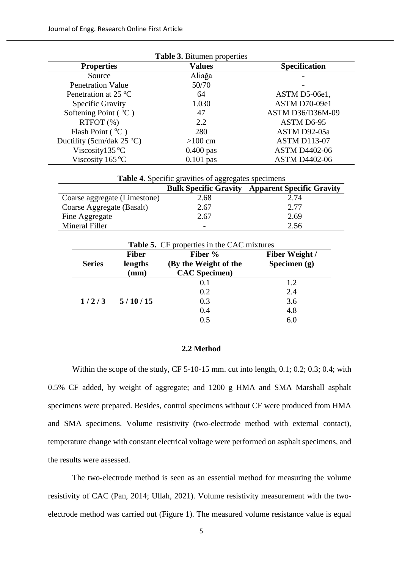| Table 3. Bitumen properties |                                                     |                                                        |                       |                       |  |  |  |
|-----------------------------|-----------------------------------------------------|--------------------------------------------------------|-----------------------|-----------------------|--|--|--|
| <b>Properties</b>           |                                                     | <b>Values</b>                                          | Specification         |                       |  |  |  |
|                             | Source                                              |                                                        | Aliağa                |                       |  |  |  |
|                             | <b>Penetration Value</b>                            |                                                        | 50/70                 |                       |  |  |  |
|                             | Penetration at 25 °C                                |                                                        | 64                    | ASTM D5-06e1,         |  |  |  |
|                             | Specific Gravity                                    |                                                        | 1.030                 | ASTM D70-09e1         |  |  |  |
|                             | Softening Point (°C)                                |                                                        | 47                    | ASTM D36/D36M-09      |  |  |  |
|                             | RTFOT (%)                                           |                                                        | 2.2                   | ASTM D6-95            |  |  |  |
|                             | Flash Point (°C)                                    |                                                        | 280                   | ASTM D92-05a          |  |  |  |
|                             | Ductility (5cm/dak 25 °C)                           |                                                        | $>100$ cm             | <b>ASTM D113-07</b>   |  |  |  |
| Viscosity135 °C             |                                                     | $0.400$ pas                                            | <b>ASTM D4402-06</b>  |                       |  |  |  |
|                             | Viscosity 165 °C                                    |                                                        | $0.101$ pas           | <b>ASTM D4402-06</b>  |  |  |  |
|                             | Table 4. Specific gravities of aggregates specimens |                                                        |                       |                       |  |  |  |
|                             |                                                     | <b>Bulk Specific Gravity Apparent Specific Gravity</b> |                       |                       |  |  |  |
|                             | Coarse aggregate (Limestone)                        |                                                        | 2.68                  | 2.74                  |  |  |  |
|                             | Coarse Aggregate (Basalt)                           |                                                        | 2.67                  | 2.77                  |  |  |  |
|                             | Fine Aggregate                                      |                                                        | 2.67                  | 2.69                  |  |  |  |
| <b>Mineral Filler</b>       |                                                     |                                                        | 2.56                  |                       |  |  |  |
|                             | Table 5. CF properties in the CAC mixtures          |                                                        |                       |                       |  |  |  |
|                             |                                                     | <b>Fiber</b>                                           | Fiber %               | <b>Fiber Weight /</b> |  |  |  |
|                             | <b>Series</b>                                       | lengths                                                | (By the Weight of the | Specimen $(g)$        |  |  |  |
|                             |                                                     | (mm)                                                   | <b>CAC</b> Specimen)  |                       |  |  |  |
|                             |                                                     |                                                        | 0.1                   | 1.2                   |  |  |  |
|                             |                                                     |                                                        | 0.2                   | 2.4                   |  |  |  |
|                             | 1/2/3                                               | 5/10/15                                                | 0.3                   | 3.6                   |  |  |  |
|                             |                                                     |                                                        | 0.4                   | 4.8                   |  |  |  |
|                             |                                                     |                                                        | 0.5                   | 6.0                   |  |  |  |
|                             |                                                     |                                                        |                       |                       |  |  |  |

## **2.2 Method**

Within the scope of the study, CF 5-10-15 mm. cut into length, 0.1; 0.2; 0.3; 0.4; with 0.5% CF added, by weight of aggregate; and 1200 g HMA and SMA Marshall asphalt specimens were prepared. Besides, control specimens without CF were produced from HMA and SMA specimens. Volume resistivity (two-electrode method with external contact), temperature change with constant electrical voltage were performed on asphalt specimens, and the results were assessed.

The two-electrode method is seen as an essential method for measuring the volume resistivity of CAC (Pan, 2014; Ullah, 2021). Volume resistivity measurement with the twoelectrode method was carried out (Figure 1). The measured volume resistance value is equal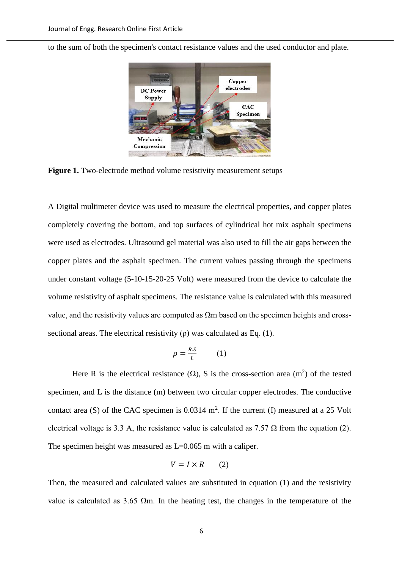to the sum of both the specimen's contact resistance values and the used conductor and plate.



**Figure 1.** Two-electrode method volume resistivity measurement setups

A Digital multimeter device was used to measure the electrical properties, and copper plates completely covering the bottom, and top surfaces of cylindrical hot mix asphalt specimens were used as electrodes. Ultrasound gel material was also used to fill the air gaps between the copper plates and the asphalt specimen. The current values passing through the specimens under constant voltage (5-10-15-20-25 Volt) were measured from the device to calculate the volume resistivity of asphalt specimens. The resistance value is calculated with this measured value, and the resistivity values are computed as  $\Omega$ m based on the specimen heights and crosssectional areas. The electrical resistivity  $(\rho)$  was calculated as Eq. (1).

$$
\rho = \frac{R.S}{L} \qquad (1)
$$

Here R is the electrical resistance  $(\Omega)$ , S is the cross-section area  $(m^2)$  of the tested specimen, and L is the distance (m) between two circular copper electrodes. The conductive contact area (S) of the CAC specimen is  $0.0314 \text{ m}^2$ . If the current (I) measured at a 25 Volt electrical voltage is 3.3 A, the resistance value is calculated as  $7.57 \Omega$  from the equation (2). The specimen height was measured as L=0.065 m with a caliper.

$$
V = I \times R \qquad (2)
$$

Then, the measured and calculated values are substituted in equation (1) and the resistivity value is calculated as 3.65  $\Omega$ m. In the heating test, the changes in the temperature of the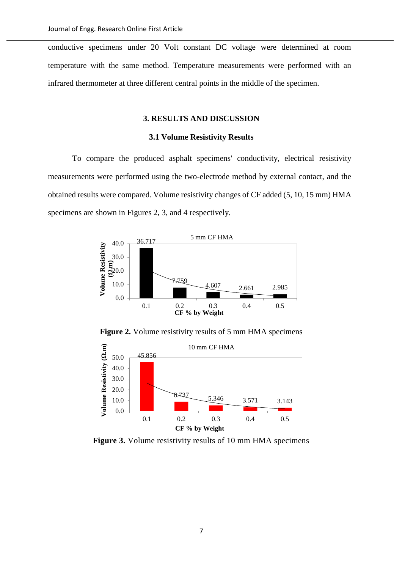conductive specimens under 20 Volt constant DC voltage were determined at room temperature with the same method. Temperature measurements were performed with an infrared thermometer at three different central points in the middle of the specimen.

## **3. RESULTS AND DISCUSSION**

## **3.1 Volume Resistivity Results**

To compare the produced asphalt specimens' conductivity, electrical resistivity measurements were performed using the two-electrode method by external contact, and the obtained results were compared. Volume resistivity changes of CF added (5, 10, 15 mm) HMA specimens are shown in Figures 2, 3, and 4 respectively.



Figure 2. Volume resistivity results of 5 mm HMA specimens



**Figure 3.** Volume resistivity results of 10 mm HMA specimens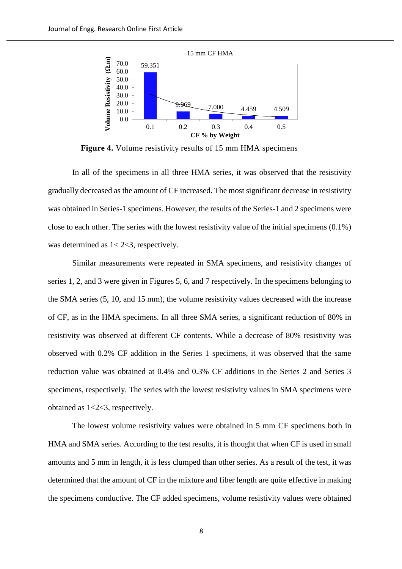

**Figure 4.** Volume resistivity results of 15 mm HMA specimens

In all of the specimens in all three HMA series, it was observed that the resistivity gradually decreased as the amount of CF increased. The most significant decrease in resistivity was obtained in Series-1 specimens. However, the results of the Series-1 and 2 specimens were close to each other. The series with the lowest resistivity value of the initial specimens (0.1%) was determined as  $1 < 2 < 3$ , respectively.

Similar measurements were repeated in SMA specimens, and resistivity changes of series 1, 2, and 3 were given in Figures 5, 6, and 7 respectively. In the specimens belonging to the SMA series (5, 10, and 15 mm), the volume resistivity values decreased with the increase of CF, as in the HMA specimens. In all three SMA series, a significant reduction of 80% in resistivity was observed at different CF contents. While a decrease of 80% resistivity was observed with 0.2% CF addition in the Series 1 specimens, it was observed that the same reduction value was obtained at 0.4% and 0.3% CF additions in the Series 2 and Series 3 specimens, respectively. The series with the lowest resistivity values in SMA specimens were obtained as 1<2<3, respectively.

The lowest volume resistivity values were obtained in 5 mm CF specimens both in HMA and SMA series. According to the test results, it is thought that when CF is used in small amounts and 5 mm in length, it is less clumped than other series. As a result of the test, it was determined that the amount of CF in the mixture and fiber length are quite effective in making the specimens conductive. The CF added specimens, volume resistivity values were obtained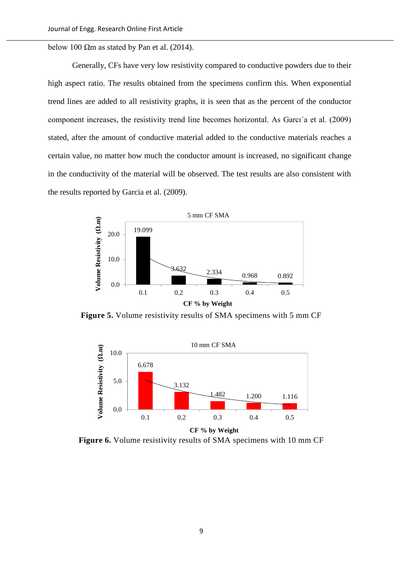below 100  $\Omega$ m as stated by Pan et al. (2014).

Generally, CFs have very low resistivity compared to conductive powders due to their high aspect ratio. The results obtained from the specimens confirm this. When exponential trend lines are added to all resistivity graphs, it is seen that as the percent of the conductor component increases, the resistivity trend line becomes horizontal. As Garcı´a et al. (2009) stated, after the amount of conductive material added to the conductive materials reaches a certain value, no matter how much the conductor amount is increased, no significant change in the conductivity of the material will be observed. The test results are also consistent with the results reported by Garcia et al. (2009).



**Figure 5.** Volume resistivity results of SMA specimens with 5 mm CF



Figure 6. Volume resistivity results of SMA specimens with 10 mm CF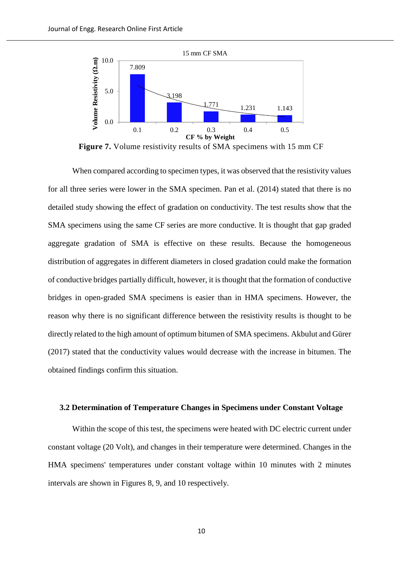

**Figure 7.** Volume resistivity results of SMA specimens with 15 mm CF

When compared according to specimen types, it was observed that the resistivity values for all three series were lower in the SMA specimen. Pan et al. (2014) stated that there is no detailed study showing the effect of gradation on conductivity. The test results show that the SMA specimens using the same CF series are more conductive. It is thought that gap graded aggregate gradation of SMA is effective on these results. Because the homogeneous distribution of aggregates in different diameters in closed gradation could make the formation of conductive bridges partially difficult, however, it is thought that the formation of conductive bridges in open-graded SMA specimens is easier than in HMA specimens. However, the reason why there is no significant difference between the resistivity results is thought to be directly related to the high amount of optimum bitumen of SMA specimens. Akbulut and Gürer (2017) stated that the conductivity values would decrease with the increase in bitumen. The obtained findings confirm this situation.

#### **3.2 Determination of Temperature Changes in Specimens under Constant Voltage**

Within the scope of this test, the specimens were heated with DC electric current under constant voltage (20 Volt), and changes in their temperature were determined. Changes in the HMA specimens' temperatures under constant voltage within 10 minutes with 2 minutes intervals are shown in Figures 8, 9, and 10 respectively.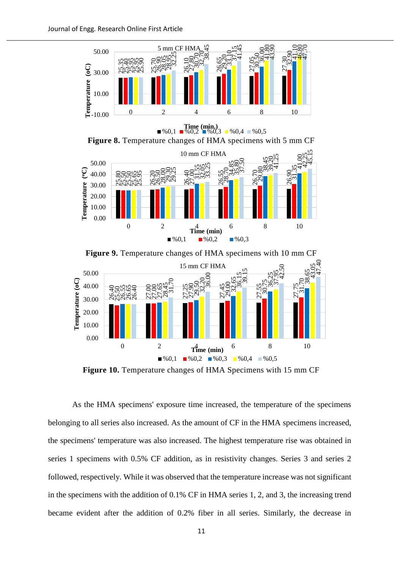

 $\begin{array}{ll}\n\textbf{Time (min.)} \\
\%0,1 \quad \blacksquare \, \%\ 0,2 \quad \blacksquare \, \%\ 0,3 \quad \blacksquare \, \%\ 0,4 \quad \blacksquare \, \%\ 0,5\n\end{array}$ 

**Figure 8.** Temperature changes of HMA specimens with 5 mm CF



Figure 9. Temperature changes of HMA specimens with 10 mm CF



**Figure 10.** Temperature changes of HMA Specimens with 15 mm CF

As the HMA specimens' exposure time increased, the temperature of the specimens belonging to all series also increased. As the amount of CF in the HMA specimens increased, the specimens' temperature was also increased. The highest temperature rise was obtained in series 1 specimens with 0.5% CF addition, as in resistivity changes. Series 3 and series 2 followed, respectively. While it was observed that the temperature increase was not significant in the specimens with the addition of 0.1% CF in HMA series 1, 2, and 3, the increasing trend 50.00<br>
THE CONTENTION CONTENT CONTENT CONTENT CONTENT CONTENT CONTENT CONTENT CONTENT CONTENT CONTENT CONTENT CONTENT CONTENT CONTENT CONTENT CONTENT CONTENT CONTENT CONTENT CONTENT CONTENT CONTENT CONTENT CONTENT CONTENT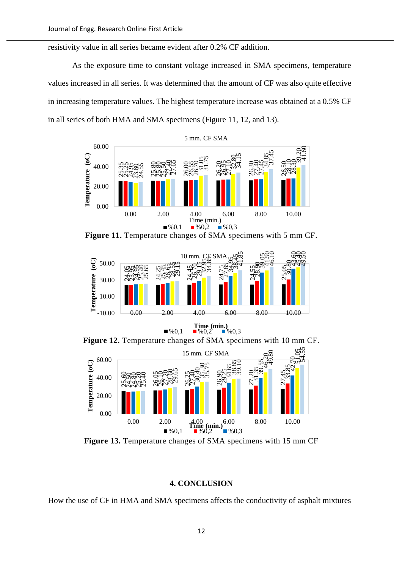resistivity value in all series became evident after 0.2% CF addition.

As the exposure time to constant voltage increased in SMA specimens, temperature values increased in all series. It was determined that the amount of CF was also quite effective in increasing temperature values. The highest temperature increase was obtained at a 0.5% CF in all series of both HMA and SMA specimens (Figure 11, 12, and 13).







**Figure 12.** Temperature changes of SMA specimens with 10 mm CF.



**Figure 13.** Temperature changes of SMA specimens with 15 mm CF

#### **4. CONCLUSION**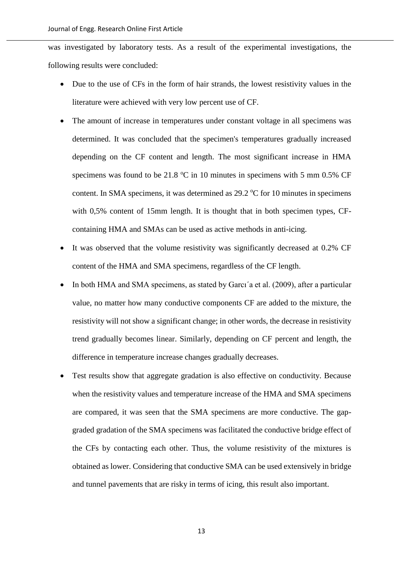was investigated by laboratory tests. As a result of the experimental investigations, the following results were concluded:

- Due to the use of CFs in the form of hair strands, the lowest resistivity values in the literature were achieved with very low percent use of CF.
- The amount of increase in temperatures under constant voltage in all specimens was determined. It was concluded that the specimen's temperatures gradually increased depending on the CF content and length. The most significant increase in HMA specimens was found to be 21.8  $\degree$ C in 10 minutes in specimens with 5 mm 0.5% CF content. In SMA specimens, it was determined as  $29.2 \degree C$  for 10 minutes in specimens with 0,5% content of 15mm length. It is thought that in both specimen types, CFcontaining HMA and SMAs can be used as active methods in anti-icing.
- It was observed that the volume resistivity was significantly decreased at 0.2% CF content of the HMA and SMA specimens, regardless of the CF length.
- In both HMA and SMA specimens, as stated by Garci<sup>o</sup> a et al. (2009), after a particular value, no matter how many conductive components CF are added to the mixture, the resistivity will not show a significant change; in other words, the decrease in resistivity trend gradually becomes linear. Similarly, depending on CF percent and length, the difference in temperature increase changes gradually decreases.
- Test results show that aggregate gradation is also effective on conductivity. Because when the resistivity values and temperature increase of the HMA and SMA specimens are compared, it was seen that the SMA specimens are more conductive. The gapgraded gradation of the SMA specimens was facilitated the conductive bridge effect of the CFs by contacting each other. Thus, the volume resistivity of the mixtures is obtained as lower. Considering that conductive SMA can be used extensively in bridge and tunnel pavements that are risky in terms of icing, this result also important.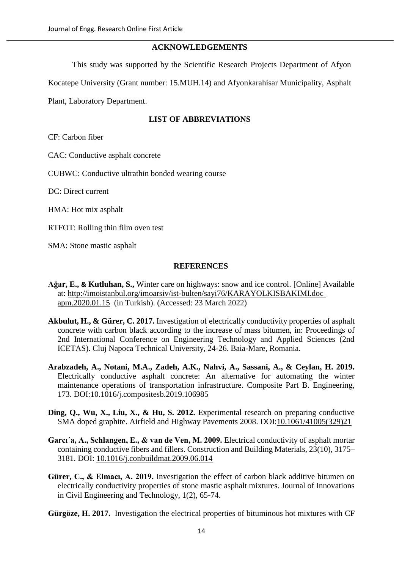## **ACKNOWLEDGEMENTS**

This study was supported by the Scientific Research Projects Department of Afyon

Kocatepe University (Grant number: 15.MUH.14) and Afyonkarahisar Municipality, Asphalt

Plant, Laboratory Department.

# **LIST OF ABBREVIATIONS**

CF: Carbon fiber

CAC: Conductive asphalt concrete

CUBWC: Conductive ultrathin bonded wearing course

DC: Direct current

HMA: Hot mix asphalt

RTFOT: Rolling thin film oven test

SMA: Stone mastic asphalt

### **REFERENCES**

- **Ağar, E., & Kutluhan, S.,** Winter care on highways: snow and ice control. [Online] Available at: [http://imoistanbul.org/imoarsiv/ist-bulten/sayi76/KARAYOLKISBAKIMI.doc](http://imoistanbul.org/imoarsiv/ist-bulten/sayi76/KARAYOLKISBAKIMI.doc%20apm.2020.01.15)  [apm.2020.01.15](http://imoistanbul.org/imoarsiv/ist-bulten/sayi76/KARAYOLKISBAKIMI.doc%20apm.2020.01.15) (in Turkish). (Accessed: 23 March 2022)
- **Akbulut, H., & Gürer, C. 2017.** Investigation of electrically conductivity properties of asphalt concrete with carbon black according to the increase of mass bitumen, in: Proceedings of 2nd International Conference on Engineering Technology and Applied Sciences (2nd ICETAS). Cluj Napoca Technical University, 24-26. Baia-Mare, Romania.
- **Arabzadeh, A., Notani, M.A., Zadeh, A.K., Nahvi, A., Sassani, A., & Ceylan, H. 2019.** Electrically conductive asphalt concrete: An alternative for automating the winter maintenance operations of transportation infrastructure. Composite Part B. Engineering, 173. DOI[:10.1016/j.compositesb.2019.106985](https://doi.org/10.1016/j.compositesb.2019.106985)
- **Ding, Q., Wu, X., Liu, X., & Hu, S. 2012.** Experimental research on preparing conductive SMA doped graphite. Airfield and Highway Pavements 2008. DOI[:10.1061/41005\(329\)21](https://doi.org/10.1061/41005(329)21)
- **Garcı´a, A., Schlangen, E., & van de Ven, M. 2009.** Electrical conductivity of asphalt mortar containing conductive fibers and fillers. Construction and Building Materials, 23(10), 3175– 3181. DOI: [10.1016/j.conbuildmat.2009.06.014](https://doi.org/10.1016/j.conbuildmat.2009.06.014)
- Gürer, C., & Elmaci, A. 2019. Investigation the effect of carbon black additive bitumen on electrically conductivity properties of stone mastic asphalt mixtures. Journal of Innovations in Civil Engineering and Technology, 1(2), 65-74.
- **Gürgöze, H. 2017.** Investigation the electrical properties of bituminous hot mixtures with CF